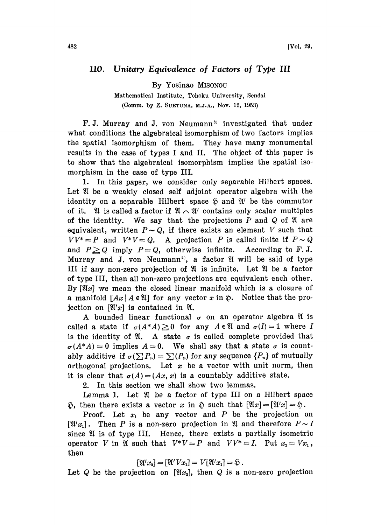## 110. Unitary Equivalence of Factors of Type III

By Yosinao MISONOU

Mathematical Institute, Tohoku University, Sendai (Comm. by Z. SUETUNA, M.J.A., Nov. 12, 1953)

F.J. Murray and J. von Neumann<sup>3)</sup> investigated that under what conditions the algebraical isomorphism of two factors implies the spatial isomorphism of them. They have many monumental results in the case of types <sup>I</sup> and II. The object of this paper is to show that the algebraical isomorphism implies the spatial isomorphism in the case of type III.

1. In this paper, we consider only separable Hilbert spaces. Let  $\mathfrak A$  be a weakly closed self adjoint operator algebra with the identity on a separable Hilbert space  $\tilde{p}$  and  $\mathfrak{A}'$  be the commutor of it.  $\mathfrak A$  is called a factor if  $\mathfrak A \cap \mathfrak A'$  contains only scalar multiples of the identity. We say that the projections  $P$  and  $Q$  of  $\mathfrak A$  are equivalent, written  $P\sim Q$ , if there exists an element V such that  $VV^* = P$  and  $V^*V = Q$ . A projection P is called finite if  $P \sim Q$ and  $P \geq Q$  imply  $P=Q$ , otherwise infinite. According to F.J. Murray and J. von Neumann<sup>2</sup>, a factor  $\mathfrak A$  will be said of type III if any non-zero projection of  $\mathfrak A$  is infinite. Let  $\mathfrak A$  be a factor of type III, then all non-zero projections are equivalent each other. By  $[\mathfrak{A}x]$  we mean the closed linear manifold which is a closure of a manifold  $[Ax \mid A \in \mathfrak{A}]$  for any vector x in  $\mathfrak{D}$ . Notice that the projection on  $[\mathfrak{A}']$  is contained in  $\mathfrak{A}$ .

A bounded linear functional  $\sigma$  on an operator algebra  $\mathfrak A$  is called a state if  $\sigma(A^*A) \ge 0$  for any  $A \in \mathfrak{A}$  and  $\sigma(I)=1$  where I is the identity of  $\mathfrak{A}$ . A state  $\sigma$  is called complete provided that  $\sigma(A^*A) = 0$  implies  $A=0$ . We shall say that a state  $\sigma$  is countably additive if  $\sigma(\sum P_n) = \sum(P_n)$  for any sequence  $\{P_n\}$  of mutually orthogonal projections. Let  $x$  be a vector with unit norm, then it is clear that  $\sigma(A)=(Ax, x)$  is a countably additive state.

2. In this section we shall show two lemmas.

Lemma 1. Let  $\mathfrak A$  be a factor of type III on a Hilbert space  $\mathfrak{H}$ , then there exists a vector x in  $\mathfrak{H}$  such that  $[\mathfrak{A}x] = [\mathfrak{A}'x] = \mathfrak{H}$ .

**Proof.** Let  $x_1$  be any vector and P be the projection on  $[\mathfrak{A}'x_1]$ . Then P is a non-zero projection in  $\mathfrak A$  and therefore  $P\sim I$ since  $\mathfrak A$  is of type III. Hence, there exists a partially isometric operator V in  $\mathfrak A$  such that  $V^*V=P$  and  $VV^*=I$ . Put  $x_2=Vx_1$ , then

$$
[\mathfrak{A}'x_1] = [\mathfrak{A}'Vx_1] = V[\mathfrak{A}'x_1] = \mathfrak{H}.
$$

Let Q be the projection on  $[\mathfrak{A}x_1]$ , then Q is a non-zero projection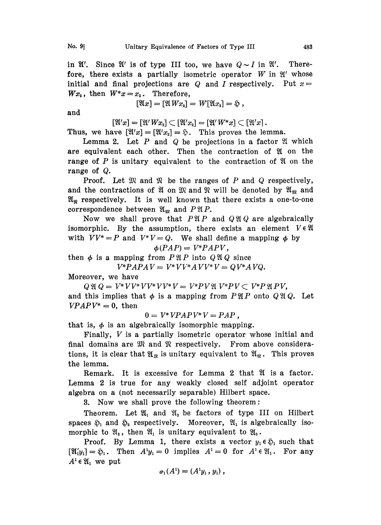in  $\mathfrak{A}'$ . Since  $\mathfrak{A}'$  is of type III too, we have  $Q \sim I$  in  $\mathfrak{A}'$ . Therefore, there exists a partially isometric operator  $W$  in  $\mathfrak{A}'$  whose initial and final projections are Q and I respectively. Put  $x=$  $Wx_2$ , then  $W^*x=x_2$ . Therefore,

$$
[\mathfrak{A} x] = [\mathfrak{A} W x_2] = W[\mathfrak{A} x_2] = \mathfrak{H},
$$

and

 $[\mathfrak{A}'x] = [\mathfrak{A}'Wx_2] \subset [\mathfrak{A}'x_2] = [\mathfrak{A}'W^*x] \subset [\mathfrak{A}'x]$ .

Thus, we have  $[\mathfrak{A}'x] = [\mathfrak{A}'x_2] = \mathfrak{H}$ . This proves the lemma.

Lemma 2. Let  $P$  and  $Q$  be projections in a factor  $\mathfrak A$  which are equivalent each other. Then the contraction of  $\mathfrak A$  on the range of  $P$  is unitary equivalent to the contraction of  $\mathfrak A$  on the range of Q.

**Proof.** Let  $\mathfrak{M}$  and  $\mathfrak{N}$  be the ranges of P and Q respectively, and the contractions of  $\mathfrak A$  on  $\mathfrak M$  and  $\mathfrak R$  will be denoted by  $\mathfrak A_{\mathfrak M}$  and  $\mathfrak{A}_{\mathfrak{R}}$  respectively. It is well known that there exists a one-to-one correspondence between  $\mathfrak{A}_{\mathfrak{M}}$  and  $P \mathfrak{A} P$ .

Now we shall prove that  $P\mathfrak{A}P$  and  $Q\mathfrak{A}Q$  are algebraically isomorphic. By the assumption, there exists an element  $V \in \mathfrak{A}$ with  $VV^*=P$  and  $V^*V=Q$ . We shall define a mapping  $\phi$  by

$$
\phi(PAP) = V^*PAPV,
$$

then  $\phi$  is a mapping from  $P \mathfrak{A} P$  into  $Q \mathfrak{A} Q$  since

 $V^*PAPAV = V^*VV^*AVV^*V = QV^*AVQ.$ 

Moreover, we have

Q Q V\* VV\* VV\* VV\* V V\*PV1[ V\*PV V\*P 9.1 PV,

and this implies that  $\phi$  is a mapping from  $P \mathfrak{A} P$  onto  $Q \mathfrak{A} Q$ . Let  $VPAPV^* = 0$ , then

 $0 = V^* V P A P V^* V = P A P$ ,

that is,  $\phi$  is an algebraically isomorphic mapping.

Finally,  $V$  is a partially isometric operator whose initial and final domains are  $\mathfrak{M}$  and  $\mathfrak{N}$  respectively. From above considerations, it is clear that  $\mathfrak{A}_m$  is unitary equivalent to  $\mathfrak{A}_m$ . This proves the lemma.

Remark. It is excessive for Lemma 2 that  $\mathfrak A$  is a factor. Lemma 2 is true for any weakly closed self adjoint operator algebra on a (not necessarily separable) Hilbert space.

8. Now we shall prove the following theorem:

Theorem. Let  $\mathfrak{A}_1$  and  $\mathfrak{A}_2$  be factors of type III on Hilbert spaces  $\mathfrak{H}_1$  and  $\mathfrak{H}_2$  respectively. Moreover,  $\mathfrak{A}_1$  is algebraically isomorphic to  $\mathfrak{A}_2$ , then  $\mathfrak{A}_1$  is unitary equivalent to  $\mathfrak{A}_2$ .

**Proof.** By Lemma 1, there exists a vector  $y_1 \in \mathfrak{H}$  such that  $[\mathfrak{A}'_{1}y_{1}] = \mathfrak{H}_{1}$ . Then  $A^{1}y_{1} = 0$  implies  $A^{1} = 0$  for  $A^{1} \in \mathfrak{A}_{1}$ . For any  $A^1 \in \mathfrak{A}_1$  we put

$$
\sigma_1(A^1)=(A^1y_1,y_1),
$$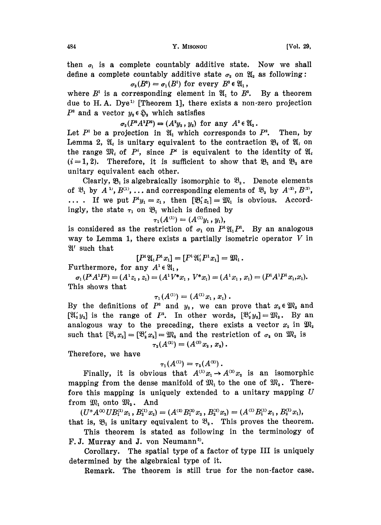then  $\sigma_1$  is a complete countably additive state. Now we shall define a complete countably additive state  $\sigma_2$  on  $\mathfrak{A}_2$  as following:  $\sigma_2(B^2) = \sigma_1(B^1)$  for every  $B^2 \in \mathfrak{A}_1$ ,

where  $B<sup>1</sup>$  is a corresponding element in  $\mathfrak{A}_1$  to  $B<sup>2</sup>$ . By a theorem due to H.A. Dye<sup>1)</sup> [Theorem 1], there exists a non-zero projection  $P^2$  and a vector  $y_2 \in \mathfrak{S}_2$  which satisfies

 $r y_2 \in \mathfrak{S}_2$  which satisfies<br>  $\sigma_2(P^2A^2P^2) = (A^2y_2, y_2)$  for any  $A^2 \in \mathfrak{A}_2$ .

Let  $P^1$  be a projection in  $\mathfrak{A}_1$  which corresponds Then, by Lemma 2,  $\mathfrak{A}_i$  is unitary equivalent to the contraction  $\mathfrak{B}_i$  of  $\mathfrak{A}_i$  on the range  $\mathfrak{M}_i$  of  $P^i$ , since  $P^i$  is equivalent to the identity of  $\mathfrak{A}_i$  $(i = 1, 2)$ . Therefore, it is sufficient to show that  $\mathfrak{B}_1$  and  $\mathfrak{B}_2$  are unitary equivalent each other.

Clearly,  $\mathfrak{B}_1$  is algebraically isomorphic to  $\mathfrak{B}_2$ . Denote elements of  $\mathfrak{B}_1$  by  $A^{11}, B^{(1)}, \ldots$  and corresponding elements of  $\mathfrak{B}_2$  by  $A^{(2)}, B^{(2)}$ ,  $\ldots$  If we put  $P^1y_1 = z_1$ , then  $[\mathfrak{B}'_1z_1] = \mathfrak{M}_1$  is obvious. Accordingly, the state  $\tau_1$  on  $\mathfrak{B}_1$  which is defined by

$$
\tau_1(A^{(1)})=(A^{(1)}y_1,y_1),
$$

is considered as the restriction of  $\sigma_1$  on  $P^1\mathfrak{A}_1 P^1$ . By an analogous way to Lemma 1, there exists a partially isometric operator  $V$  in  $\mathfrak{A}'$  such that  $\mathfrak{A}^{\prime}$  such that<br>  $[P^{1}\mathfrak{A}_{1}P^{1}x_{1}] =$ <br>
Furthermore, for any  $A^{1} \in \mathfrak{A}_{1}$ ,  $[x_1] = [P^1 \mathfrak{A}'_1 P^1 x_1] = \mathfrak{M}_1.$ 

$$
[P^1\mathfrak{A}_1P^1x_1]=[P^1\mathfrak{A}_1'P^1x_1]=\mathfrak{M}_1.
$$

 $\sigma_1(P^{\iota}A^1P^{\iota}) = (A^{\iota}z_1, z_1) = (A^{\iota}V^*x_1, V^*x_1) = (A^{\iota}x_1, x_1) = (P^{\iota}A^1P^{\iota}x_1, x_1).$ This shows that

$$
\tau_1(A^{(1)})=(A^{(1)}x_1,x_1).
$$

By the definitions of  $P^2$  and  $y_2$ , we can prove that  $x_2 \in \mathfrak{M}_2$  and  $[\mathfrak{A}_2' y_2]$  is the range of  $P^2$ . In other words,  $[\mathfrak{B}_2' y_2] = \mathfrak{M}_2$ . By an analogous way to the preceding, there exists a vector  $x_2$  in  $\mathfrak{M}_2$ such that  $[\mathfrak{B}_2 x_1] = [\mathfrak{B}_2' x_1] = \mathfrak{M}_2$  and the restriction of  $\sigma_2$  on  $\mathfrak{M}_2$  is  $\tau_2(A^{(2)}) = (A^{(2)}x_2, x_2).$ 

Therefore, we have

$$
\tau_1(A^{(1)})=\tau_2(A^{(2)})\,.
$$

Finally, it is obvious that  $A^{(1)}x_1 \rightarrow A^{(2)}x_2$  is an isomorphic mapping from the dense manifold of  $\mathfrak{M}_1$  to the one of  $\mathfrak{M}_2$ . Therefore this mapping is uniquely extended to a unitary mapping  $U$ <br>from  $\mathfrak{M}_1$  onto  $\mathfrak{M}_2$ . And

 $(U^*\overline{A}^{(2)}UB_1^{(1)}x_1, B_2^{(1)}x_2)=(A^{(2)}B_1^{(2)}x_2, B_2^{(2)}x_2)=(A^{(1)}B_1^{(1)}x_1, B_2^{(1)}x_1),$ that is,  $\mathfrak{B}_1$  is unitary equivalent to  $\mathfrak{B}_2$ . This proves the theorem.

This theorem is stated as following in the terminology of F.J. Murray and J. von Neumann<sup>3</sup>.

Corollary. The spatial type of a factor of type III is uniquely determined by the algebraical type of it.

Remark. The theorem is still true for the non-factor case.